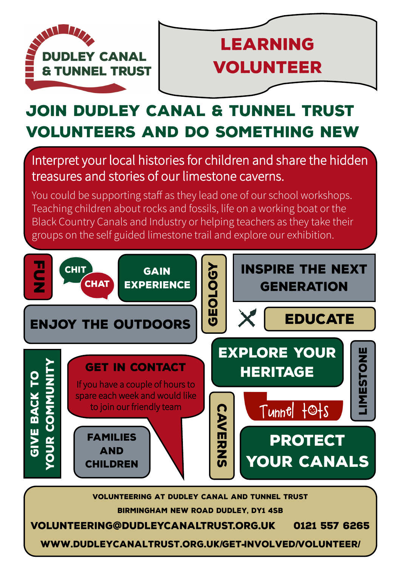



# JOIN DUDLEY CANAL & TUNNEL TRUST **VOLUNTEERS AND DO SOMETHING NEW**

## Interpret your local histories for children and share the hidden treasures and stories of our limestone caverns.

You could be supporting staff as they lead one of our school workshops. Teaching children about rocks and fossils, life on a working boat or the Black Country Canals and Industry or helping teachers as they take their groups on the self guided limestone trail and explore our exhibition.



**VOLUNTEERING AT DUDLEY CANAL AND TUNNEL TRUST BIRMINGHAM NEW ROAD DUDLEY. DY1 4SB** 

**VOLUNTEERING@DUDLEYCANALTRUST.ORG.UK** 0121 557 6265

WWW.DUDLEYCANALTRUST.ORG.UK/GET-INVOLVED/VOLUNTEER/